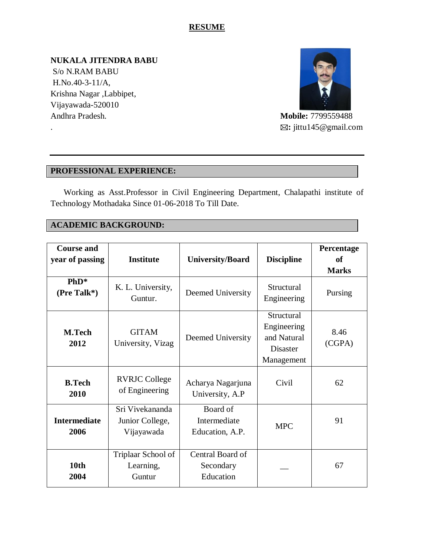# **RESUME**

**NUKALA JITENDRA BABU**  S/o N.RAM BABU H.No.40-3-11/A, Krishna Nagar ,Labbipet, Vijayawada-520010 Andhra Pradesh. **Mobile:** 7799559488



. **:** jittu145@gmail.com

# **PROFESSIONAL EXPERIENCE:**

 Working as Asst.Professor in Civil Engineering Department, Chalapathi institute of Technology Mothadaka Since 01-06-2018 To Till Date.

### **ACADEMIC BACKGROUND:**

| <b>Course and</b><br>year of passing | <b>Institute</b>                                 | <b>University/Board</b>                     | <b>Discipline</b>                                                         | Percentage<br>of<br><b>Marks</b> |
|--------------------------------------|--------------------------------------------------|---------------------------------------------|---------------------------------------------------------------------------|----------------------------------|
| $PhD*$<br>(Pre Talk*)                | K. L. University,<br>Guntur.                     | Deemed University                           | Structural<br>Engineering                                                 | Pursing                          |
| <b>M.Tech</b><br>2012                | <b>GITAM</b><br>University, Vizag                | Deemed University                           | Structural<br>Engineering<br>and Natural<br><b>Disaster</b><br>Management | 8.46<br>(CGPA)                   |
| <b>B.Tech</b><br>2010                | <b>RVRJC College</b><br>of Engineering           | Acharya Nagarjuna<br>University, A.P        | Civil                                                                     | 62                               |
| <b>Intermediate</b><br>2006          | Sri Vivekananda<br>Junior College,<br>Vijayawada | Board of<br>Intermediate<br>Education, A.P. | <b>MPC</b>                                                                | 91                               |
| 10th<br>2004                         | Triplaar School of<br>Learning,<br>Guntur        | Central Board of<br>Secondary<br>Education  |                                                                           | 67                               |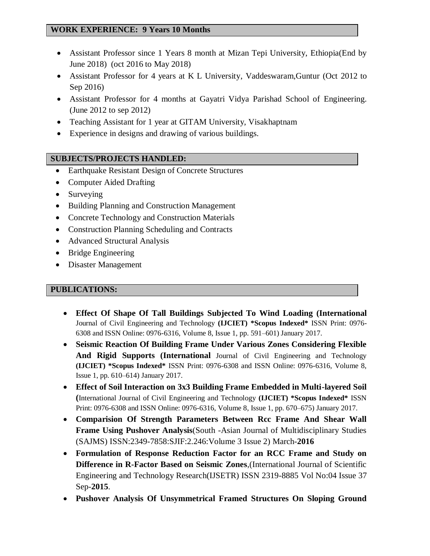#### **WORK EXPERIENCE: 9 Years 10 Months**

- Assistant Professor since 1 Years 8 month at Mizan Tepi University, Ethiopia(End by June 2018) (oct 2016 to May 2018)
- Assistant Professor for 4 years at K L University, Vaddeswaram,Guntur (Oct 2012 to Sep 2016)
- Assistant Professor for 4 months at Gayatri Vidya Parishad School of Engineering. (June 2012 to sep 2012)
- Teaching Assistant for 1 year at GITAM University, Visakhaptnam
- Experience in designs and drawing of various buildings.

#### **SUBJECTS/PROJECTS HANDLED:**

- Earthquake Resistant Design of Concrete Structures
- Computer Aided Drafting
- Surveying
- Building Planning and Construction Management
- Concrete Technology and Construction Materials
- Construction Planning Scheduling and Contracts
- Advanced Structural Analysis
- Bridge Engineering
- Disaster Management

#### **PUBLICATIONS:**

- **Effect Of Shape Of Tall Buildings Subjected To Wind Loading (International** Journal of Civil Engineering and Technology **(IJCIET) \*Scopus Indexed\*** ISSN Print: 0976- 6308 and ISSN Online: 0976-6316, Volume 8, Issue 1, pp. 591–601) January 2017.
- **Seismic Reaction Of Building Frame Under Various Zones Considering Flexible And Rigid Supports (International** Journal of Civil Engineering and Technology **(IJCIET) \*Scopus Indexed\*** ISSN Print: 0976-6308 and ISSN Online: 0976-6316, Volume 8, Issue 1, pp. 610–614) January 2017.
- **Effect of Soil Interaction on 3x3 Building Frame Embedded in Multi-layered Soil (**International Journal of Civil Engineering and Technology **(IJCIET) \*Scopus Indexed\*** ISSN Print: 0976-6308 and ISSN Online: 0976-6316, Volume 8, Issue 1, pp. 670–675) January 2017.
- **Comparision Of Strength Parameters Between Rcc Frame And Shear Wall Frame Using Pushover Analysis**(South -Asian Journal of Multidisciplinary Studies (SAJMS) ISSN:2349-7858:SJIF:2.246:Volume 3 Issue 2) March-**2016**
- **Formulation of Response Reduction Factor for an RCC Frame and Study on Difference in R-Factor Based on Seismic Zones**,(International Journal of Scientific Engineering and Technology Research(IJSETR) ISSN 2319-8885 Vol No:04 Issue 37 Sep-**2015**.
- **Pushover Analysis Of Unsymmetrical Framed Structures On Sloping Ground**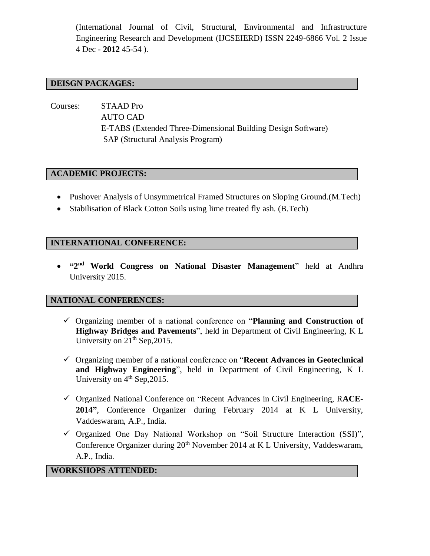(International Journal of Civil, Structural, Environmental and Infrastructure Engineering Research and Development (IJCSEIERD) ISSN 2249-6866 Vol. 2 Issue 4 Dec - **2012** 45-54 ).

#### **DEISGN PACKAGES:**

Courses: STAAD Pro AUTO CAD E-TABS (Extended Three-Dimensional Building Design Software) SAP (Structural Analysis Program)

#### **ACADEMIC PROJECTS:**

- Pushover Analysis of Unsymmetrical Framed Structures on Sloping Ground.(M.Tech)
- Stabilisation of Black Cotton Soils using lime treated fly ash. (B.Tech)

#### **INTERNATIONAL CONFERENCE:**

 **"2 nd World Congress on National Disaster Management**" held at Andhra University 2015.

#### **NATIONAL CONFERENCES:**

- Organizing member of a national conference on "**Planning and Construction of Highway Bridges and Pavements**", held in Department of Civil Engineering, K L University on  $21<sup>th</sup>$  Sep, 2015.
- Organizing member of a national conference on "**Recent Advances in Geotechnical and Highway Engineering**", held in Department of Civil Engineering, K L University on  $4<sup>th</sup>$  Sep, 2015.
- Organized National Conference on "Recent Advances in Civil Engineering, R**ACE-2014"**, Conference Organizer during February 2014 at K L University, Vaddeswaram, A.P., India.
- $\checkmark$  Organized One Day National Workshop on "Soil Structure Interaction (SSI)", Conference Organizer during 20<sup>th</sup> November 2014 at K L University, Vaddeswaram, A.P., India.

#### **WORKSHOPS ATTENDED:**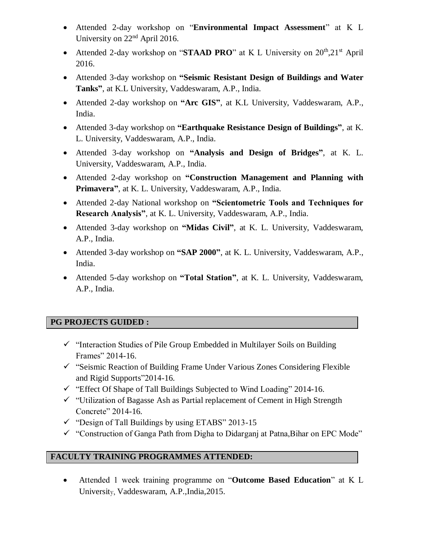- Attended 2-day workshop on "**Environmental Impact Assessment**" at K L University on  $22<sup>nd</sup>$  April 2016.
- Attended 2-day workshop on "**STAAD PRO**" at K L University on 20<sup>th</sup>,21<sup>st</sup> April 2016.
- Attended 3-day workshop on **"Seismic Resistant Design of Buildings and Water Tanks"**, at K.L University, Vaddeswaram, A.P., India.
- Attended 2-day workshop on **"Arc GIS"**, at K.L University, Vaddeswaram, A.P., India.
- Attended 3-day workshop on **"Earthquake Resistance Design of Buildings"**, at K. L. University, Vaddeswaram, A.P., India.
- Attended 3-day workshop on **"Analysis and Design of Bridges"**, at K. L. University, Vaddeswaram, A.P., India.
- Attended 2-day workshop on **"Construction Management and Planning with Primavera"**, at K. L. University, Vaddeswaram, A.P., India.
- Attended 2-day National workshop on **"Scientometric Tools and Techniques for Research Analysis"**, at K. L. University, Vaddeswaram, A.P., India.
- Attended 3-day workshop on **"Midas Civil"**, at K. L. University, Vaddeswaram, A.P., India.
- Attended 3-day workshop on **"SAP 2000"**, at K. L. University, Vaddeswaram, A.P., India.
- Attended 5-day workshop on **"Total Station"**, at K. L. University, Vaddeswaram, A.P., India.

# **PG PROJECTS GUIDED :**

- $\checkmark$  "Interaction Studies of Pile Group Embedded in Multilayer Soils on Building Frames" 2014-16.
- $\checkmark$  "Seismic Reaction of Building Frame Under Various Zones Considering Flexible and Rigid Supports"2014-16.
- $\checkmark$  "Effect Of Shape of Tall Buildings Subjected to Wind Loading" 2014-16.
- $\checkmark$  "Utilization of Bagasse Ash as Partial replacement of Cement in High Strength Concrete" 2014-16.
- $\checkmark$  "Design of Tall Buildings by using ETABS" 2013-15
- $\checkmark$  "Construction of Ganga Path from Digha to Didarganj at Patna, Bihar on EPC Mode"

# **FACULTY TRAINING PROGRAMMES ATTENDED:**

 Attended 1 week training programme on "**Outcome Based Education**" at K L University, Vaddeswaram, A.P.,India,2015.